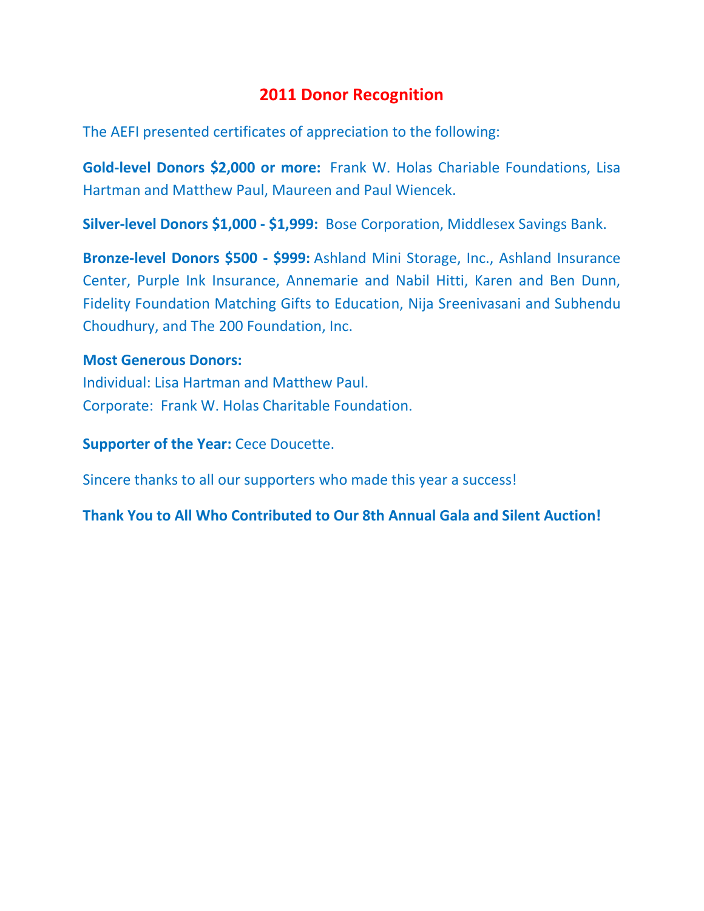## **2011 Donor Recognition**

The AEFI presented certificates of appreciation to the following:

**Gold-level Donors \$2,000 or more:** Frank W. Holas Chariable Foundations, Lisa Hartman and Matthew Paul, Maureen and Paul Wiencek.

**Silver-level Donors \$1,000 - \$1,999:** Bose Corporation, Middlesex Savings Bank.

**Bronze-level Donors \$500 - \$999:** Ashland Mini Storage, Inc., Ashland Insurance Center, Purple Ink Insurance, Annemarie and Nabil Hitti, Karen and Ben Dunn, Fidelity Foundation Matching Gifts to Education, Nija Sreenivasani and Subhendu Choudhury, and The 200 Foundation, Inc.

#### **Most Generous Donors:**

Individual: Lisa Hartman and Matthew Paul. Corporate: Frank W. Holas Charitable Foundation.

**Supporter of the Year:** Cece Doucette.

Sincere thanks to all our supporters who made this year a success!

**Thank You to All Who Contributed to Our 8th Annual Gala and Silent Auction!**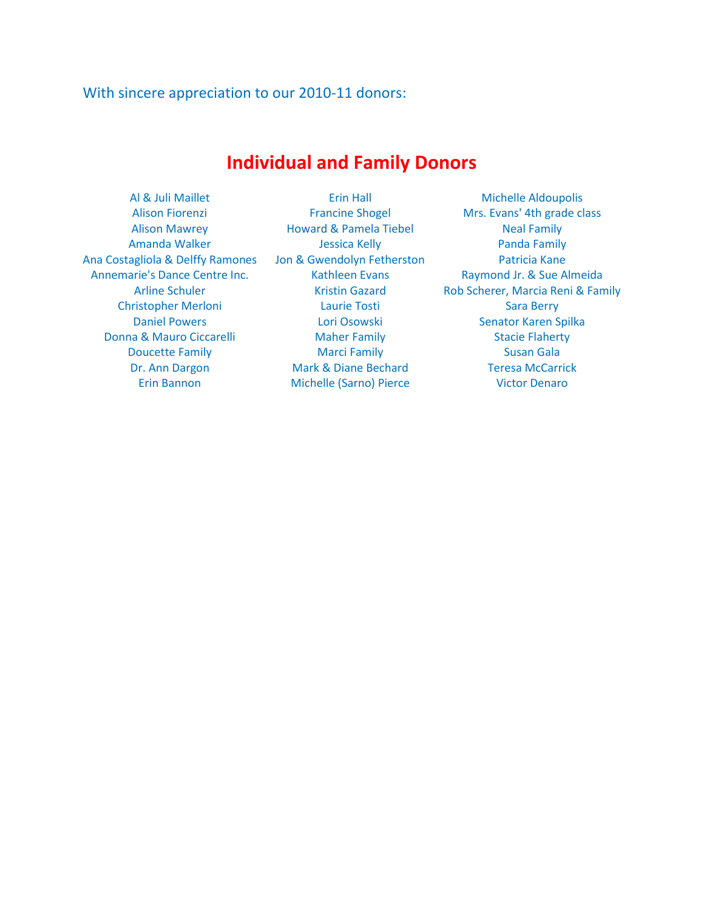#### With sincere appreciation to our 2010-11 donors:

# **Individual and Family Donors**

Ana Costagliola & Delffy Ramones Jon & Gwendolyn Fetherston Patricia Kane Annemarie's Dance Centre Inc. Kathleen Evans Raymond Jr. & Sue Almeida Donna & Mauro Ciccarelli Maher Family Stacie Flaherty

Alison Mawrey **Howard & Pamela Tiebel** Neal Family Amanda Walker **Manufalker Sensis Amanda Walker Amazon Amazon Amazon Amazon Amazon Amazon Amazon Amazon Amazon Amazon Amazon Amazon Amazon Amazon Amazon Amazon Amazon Amazon Amazon Amazon Amazon Amazon Amazon Amazon Amazon** Christopher Merloni Laurie Tosti Sara Berry Daniel Powers **National Collection Contract Contract Contract Contract Contract Contract Contract Contract Contract Contract Contract Contract Contract Contract Contract Contract Contract Contract Contract Contract Contrac Doucette Family Marci Family Marci Family Susan Gala** Dr. Ann Dargon Mark & Diane Bechard Teresa McCarrick Erin Bannon Michelle (Sarno) Pierce Victor Denaro

Al & Juli Maillet **All Erin Hall** Michelle Aldoupolis Alison Fiorenzi Francine Shogel Mrs. Evans' 4th grade class Arline Schuler Kristin Gazard Rob Scherer, Marcia Reni & Family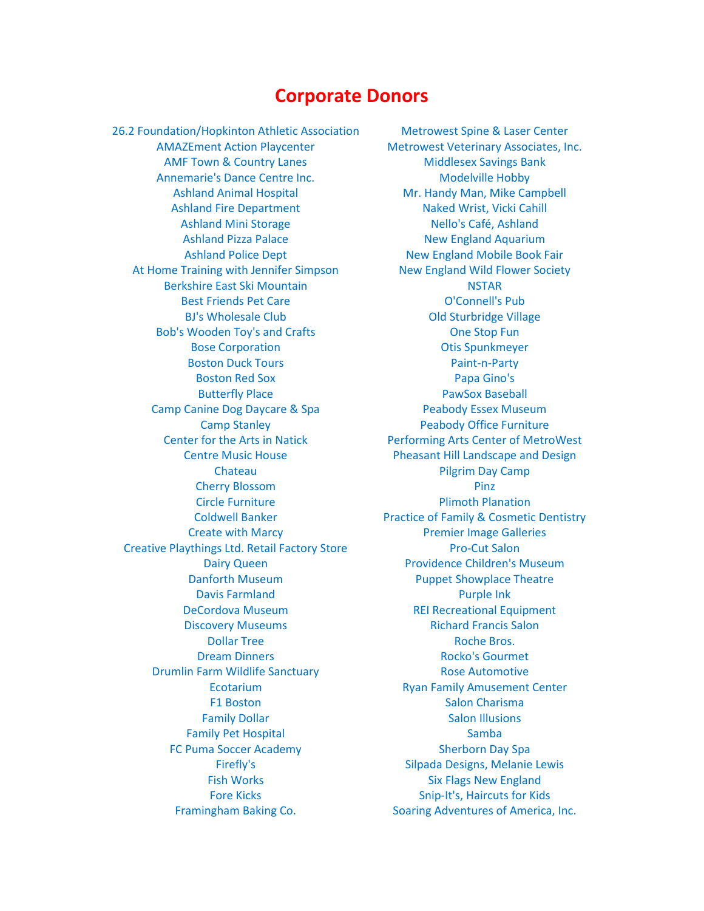### **Corporate Donors**

26.2 Foundation/Hopkinton Athletic Association Metrowest Spine & Laser Center AMF Town & Country Lanes Middlesex Savings Bank Annemarie's Dance Centre Inc. Modelville Hobby Ashland Fire Department Naked Wrist, Vicki Cahill Ashland Mini Storage Nello's Café, Ashland At Home Training with Jennifer Simpson New England Wild Flower Society Berkshire East Ski Mountain NSTAR Best Friends Pet Care O'Connell's Pub Bob's Wooden Toy's and Crafts **Canadian Crafts** One Stop Fun Bose Corporation **Communist Communist Communist Communist Communist Communist Communist Communist Communist Communist Communist Communist Communist Communist Communist Communist Communist Communist Communist Communist Comm** Boston Duck Tours **Paint-n-Party** Boston Red Sox **Papa Gino's** Butterfly Place **PawSox Baseball** Camp Canine Dog Daycare & Spa **Peabody Essex Museum** Cherry Blossom **Pinz** Creative Playthings Ltd. Retail Factory Store Pro-Cut Salon Davis Farmland Purple Ink **Discovery Museums Richard Francis Salon** Dollar Tree **Roche Bros. Roche Bros. Dream Dinners Community Community Pream Dinners** Rocko's Gourmet Drumlin Farm Wildlife Sanctuary **Rose Automotive** Rose Automotive Family Dollar **Salon Illusions** Salon Illusions Family Pet Hospital Samba FC Puma Soccer Academy Sherborn Day Spa

AMAZEment Action Playcenter Metrowest Veterinary Associates, Inc. Ashland Animal Hospital Mr. Handy Man, Mike Campbell Ashland Pizza Palace New England Aquarium Ashland Police Dept New England Mobile Book Fair BJ's Wholesale Club **Canadian Club Old Sturbridge Village** Camp Stanley **Peabody Office Furniture** Center for the Arts in Natick Performing Arts Center of MetroWest Centre Music House **Pheasant Hill Landscape and Design** Chateau **Pilgrim Day Camp** Circle Furniture **Plimoth Planation** Coldwell Banker **Practice of Family & Cosmetic Dentistry** Create with Marcy **Premier Image Galleries** Dairy Queen **Providence Children's Museum** Danforth Museum **Puppet Showplace Theatre** DeCordova Museum REI Recreational Equipment Ecotarium **Ecotarium** Ryan Family Amusement Center F1 Boston Salon Charisma Firefly's **Silpada Designs, Melanie Lewis** Fish Works **Six Flags New England** Fore Kicks Snip-It's, Haircuts for Kids Framingham Baking Co. Soaring Adventures of America, Inc.